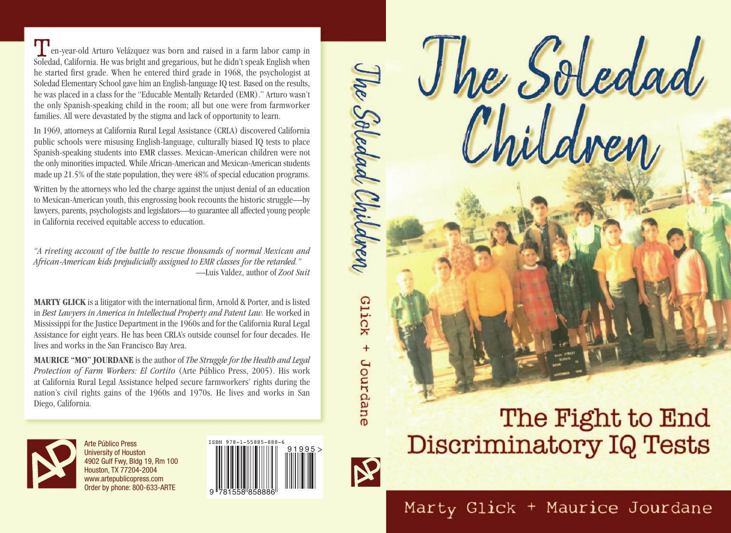

The Fight to End Discriminatory IQ Tests

Marty Glick + Maurice Jourdane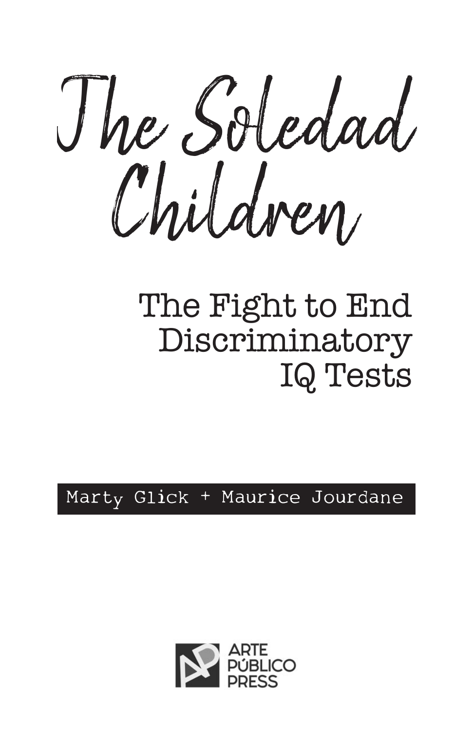T he Soledad Children

# The Fight to End Discriminatory IQ Tests

Marty Glick + Maurice Jourdane

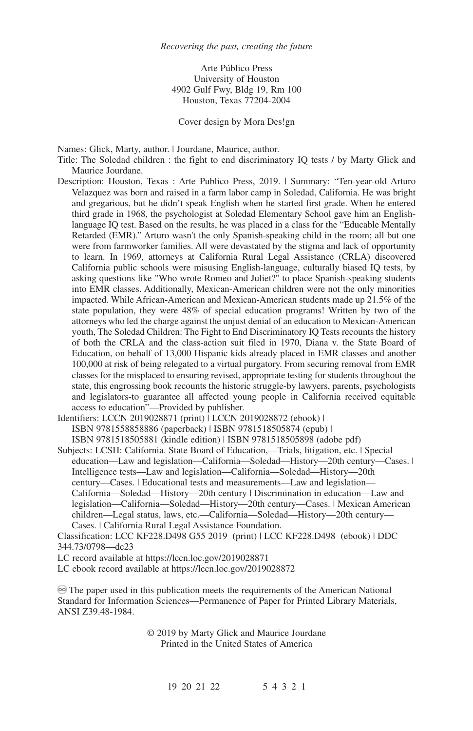Arte Público Press University of Houston 4902 Gulf Fwy, Bldg 19, Rm 100 Houston, Texas 77204-2004

Cover design by Mora Des!gn

Names: Glick, Marty, author. | Jourdane, Maurice, author.

- Title: The Soledad children : the fight to end discriminatory IQ tests / by Marty Glick and Maurice Jourdane.
- Description: Houston, Texas : Arte Publico Press, 2019. | Summary: "Ten-year-old Arturo Velazquez was born and raised in a farm labor camp in Soledad, California. He was bright and gregarious, but he didn't speak English when he started first grade. When he entered third grade in 1968, the psychologist at Soledad Elementary School gave him an Englishlanguage IQ test. Based on the results, he was placed in a class for the "Educable Mentally Retarded (EMR)." Arturo wasn't the only Spanish-speaking child in the room; all but one were from farmworker families. All were devastated by the stigma and lack of opportunity to learn. In 1969, attorneys at California Rural Legal Assistance (CRLA) discovered California public schools were misusing English-language, culturally biased IQ tests, by asking questions like "Who wrote Romeo and Juliet?" to place Spanish-speaking students into EMR classes. Additionally, Mexican-American children were not the only minorities impacted. While African-American and Mexican-American students made up 21.5% of the state population, they were 48% of special education programs! Written by two of the attorneys who led the charge against the unjust denial of an education to Mexican-American youth, The Soledad Children: The Fight to End Discriminatory IQ Tests recounts the history of both the CRLA and the class-action suit filed in 1970, Diana v. the State Board of Education, on behalf of 13,000 Hispanic kids already placed in EMR classes and another 100,000 at risk of being relegated to a virtual purgatory. From securing removal from EMR classes for the misplaced to ensuring revised, appropriate testing for students throughout the state, this engrossing book recounts the historic struggle-by lawyers, parents, psychologists and legislators-to guarantee all affected young people in California received equitable access to education"—Provided by publisher.
- Identifiers: LCCN 2019028871 (print) | LCCN 2019028872 (ebook) | ISBN 9781558858886 (paperback) | ISBN 9781518505874 (epub) | ISBN 9781518505881 (kindle edition) | ISBN 9781518505898 (adobe pdf)
- Subjects: LCSH: California. State Board of Education,—Trials, litigation, etc. | Special education—Law and legislation—California—Soledad—History—20th century—Cases. | Intelligence tests—Law and legislation—California—Soledad—History—20th century—Cases. | Educational tests and measurements—Law and legislation— California—Soledad—History—20th century | Discrimination in education—Law and legislation—California—Soledad—History—20th century—Cases. | Mexican American children—Legal status, laws, etc.—California—Soledad—History—20th century— Cases. | California Rural Legal Assistance Foundation.

Classification: LCC KF228.D498 G55 2019 (print) | LCC KF228.D498 (ebook) | DDC 344.73/0798—dc23

LC record available at https://lccn.loc.gov/2019028871

LC ebook record available at https://lccn.loc.gov/2019028872

 $\otimes$  The paper used in this publication meets the requirements of the American National Standard for Information Sciences—Permanence of Paper for Printed Library Materials, ANSI Z39.48-1984.

> © 2019 by Marty Glick and Maurice Jourdane Printed in the United States of America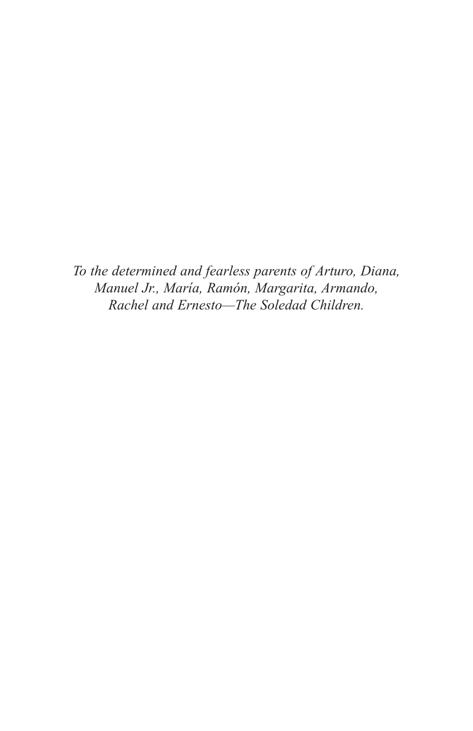*To the determined and fearless parents of Arturo, Diana, Manuel Jr., María, Ramón, Margarita, Armando, Rachel and Ernesto—The Soledad Children.*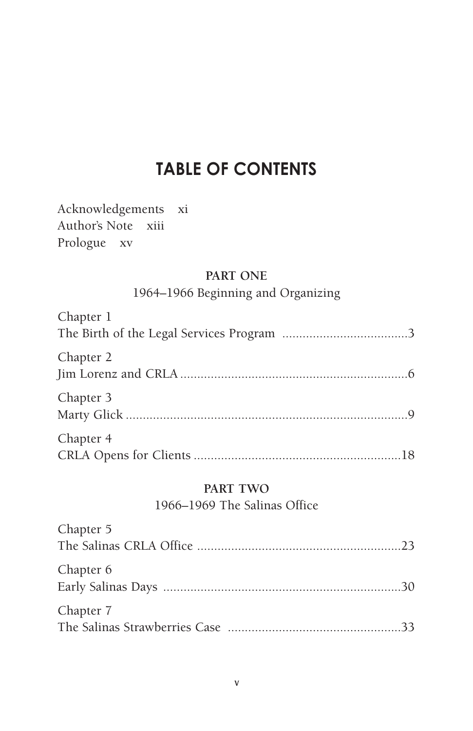# **TABLE OF CONTENTS**

Acknowledgements xi Author's Note xiii Prologue xv

#### **PART ONE**

1964–1966 Beginning and Organizing

| Chapter 1 |  |
|-----------|--|
| Chapter 2 |  |
| Chapter 3 |  |
| Chapter 4 |  |

#### **PART TWO**

1966–1969 The Salinas Office

| Chapter 5 |  |
|-----------|--|
| Chapter 6 |  |
| Chapter 7 |  |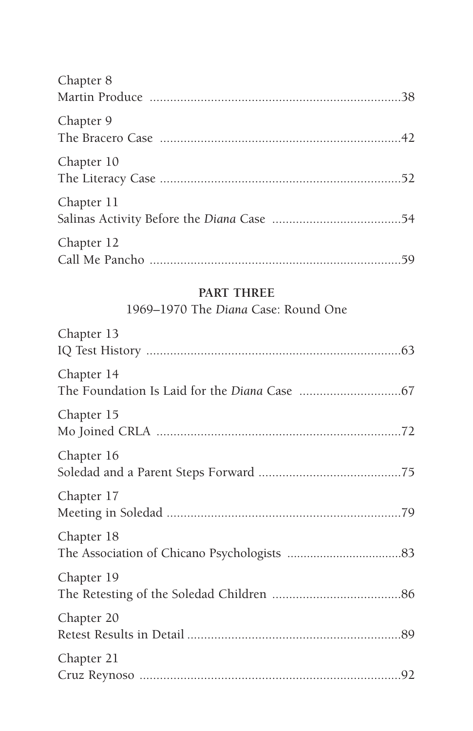| Chapter 8  |  |
|------------|--|
| Chapter 9  |  |
|            |  |
| Chapter 10 |  |
| Chapter 11 |  |
| Chapter 12 |  |

#### **PART THREE**

1969–1970 The *Diana* Case: Round One

| Chapter 13 |  |
|------------|--|
| Chapter 14 |  |
| Chapter 15 |  |
| Chapter 16 |  |
| Chapter 17 |  |
| Chapter 18 |  |
| Chapter 19 |  |
| Chapter 20 |  |
| Chapter 21 |  |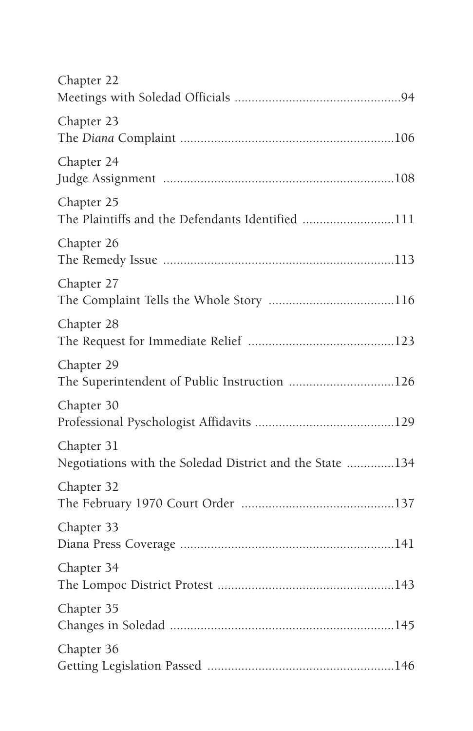| Chapter 22                                                             |
|------------------------------------------------------------------------|
| Chapter 23                                                             |
| Chapter 24                                                             |
| Chapter 25<br>The Plaintiffs and the Defendants Identified 111         |
| Chapter 26                                                             |
| Chapter 27                                                             |
| Chapter 28                                                             |
| Chapter 29<br>The Superintendent of Public Instruction 126             |
| Chapter 30                                                             |
| Chapter 31<br>Negotiations with the Soledad District and the State 134 |
| Chapter 32                                                             |
| Chapter 33                                                             |
| Chapter 34                                                             |
| Chapter 35                                                             |
| Chapter 36                                                             |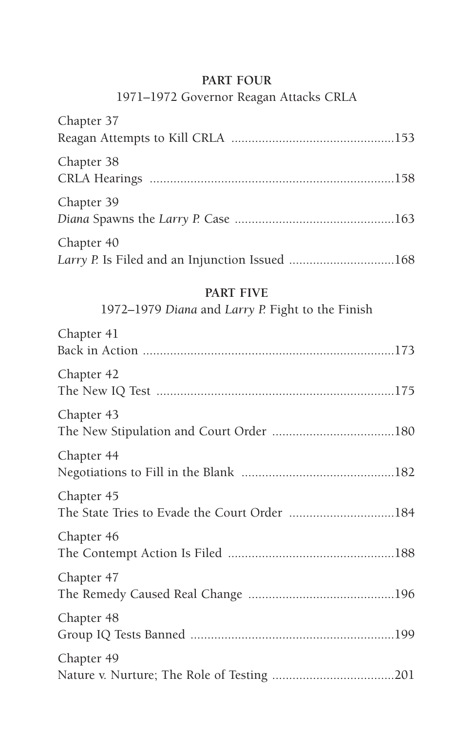#### **PART FOUR**

## 1971–1972 Governor Reagan Attacks CRLA

| Chapter 37                                     |  |
|------------------------------------------------|--|
|                                                |  |
| Chapter 38                                     |  |
|                                                |  |
| Chapter 39                                     |  |
|                                                |  |
| Chapter 40                                     |  |
| Larry P. Is Filed and an Injunction Issued 168 |  |

#### **PART FIVE**

1972–1979 *Diana* and *Larry P.* Fight to the Finish

| Chapter 41                                                 |
|------------------------------------------------------------|
| Chapter 42                                                 |
| Chapter 43                                                 |
| Chapter 44                                                 |
| Chapter 45<br>The State Tries to Evade the Court Order 184 |
| Chapter 46                                                 |
| Chapter 47                                                 |
| Chapter 48                                                 |
| Chapter 49                                                 |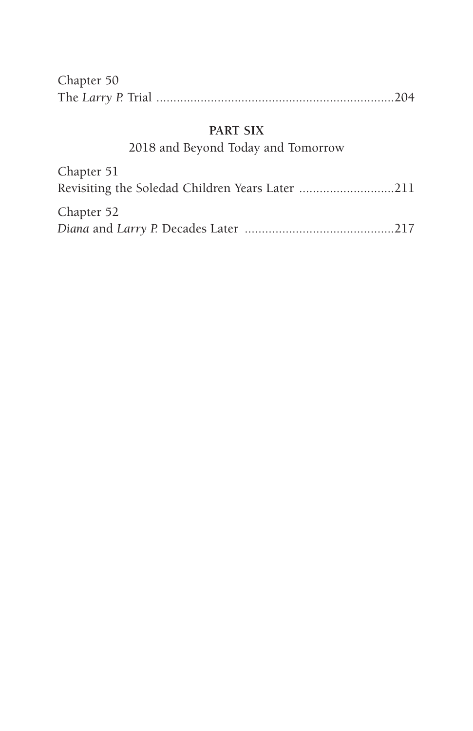| Chapter 50 |  |
|------------|--|
|            |  |

#### **PART SIX**

## 2018 and Beyond Today and Tomorrow

| Chapter 51                                      |  |
|-------------------------------------------------|--|
| Revisiting the Soledad Children Years Later 211 |  |
| Chapter 52                                      |  |
|                                                 |  |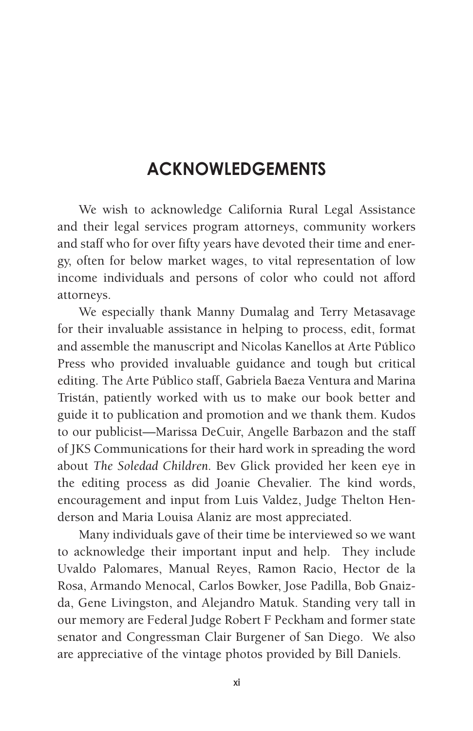# **ACKNOWLEDGEMENTS**

We wish to acknowledge California Rural Legal Assistance and their legal services program attorneys, community workers and staff who for over fifty years have devoted their time and energy, often for below market wages, to vital representation of low income individuals and persons of color who could not afford attorneys.

We especially thank Manny Dumalag and Terry Metasavage for their invaluable assistance in helping to process, edit, format and assemble the manuscript and Nicolas Kanellos at Arte Público Press who provided invaluable guidance and tough but critical editing. The Arte Público staff, Gabriela Baeza Ventura and Marina Tristán, patiently worked with us to make our book better and guide it to publication and promotion and we thank them. Kudos to our publicist—Marissa DeCuir, Angelle Barbazon and the staff of JKS Communications for their hard work in spreading the word about *The Soledad Children.* Bev Glick provided her keen eye in the editing process as did Joanie Chevalier. The kind words, encouragement and input from Luis Valdez, Judge Thelton Henderson and Maria Louisa Alaniz are most appreciated.

Many individuals gave of their time be interviewed so we want to acknowledge their important input and help. They include Uvaldo Palomares, Manual Reyes, Ramon Racio, Hector de la Rosa, Armando Menocal, Carlos Bowker, Jose Padilla, Bob Gnaizda, Gene Livingston, and Alejandro Matuk. Standing very tall in our memory are Federal Judge Robert F Peckham and former state senator and Congressman Clair Burgener of San Diego. We also are appreciative of the vintage photos provided by Bill Daniels.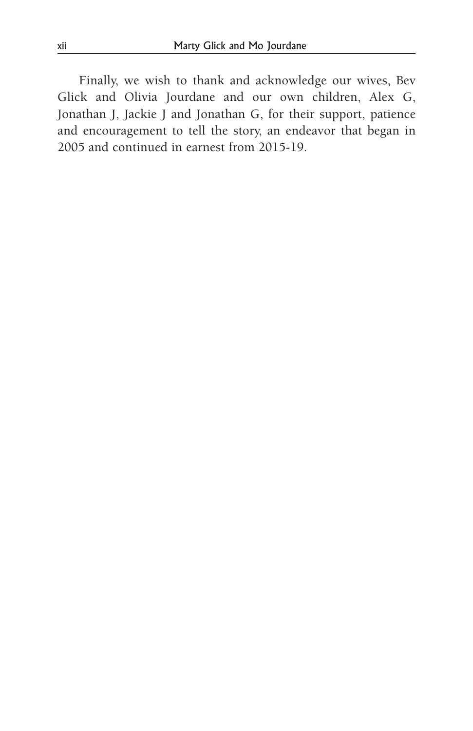Finally, we wish to thank and acknowledge our wives, Bev Glick and Olivia Jourdane and our own children, Alex G, Jonathan J, Jackie J and Jonathan G, for their support, patience and encouragement to tell the story, an endeavor that began in 2005 and continued in earnest from 2015-19.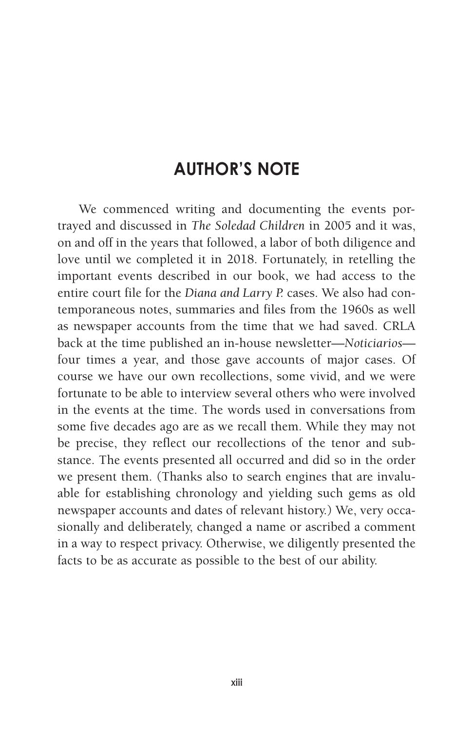# **AUTHOR'S NOTE**

We commenced writing and documenting the events portrayed and discussed in *The Soledad Children* in 2005 and it was, on and off in the years that followed, a labor of both diligence and love until we completed it in 2018. Fortunately, in retelling the important events described in our book, we had access to the entire court file for the *Diana and Larry P.* cases. We also had contemporaneous notes, summaries and files from the 1960s as well as newspaper accounts from the time that we had saved. CRLA back at the time published an in-house newsletter—*Noticiarios* four times a year, and those gave accounts of major cases. Of course we have our own recollections, some vivid, and we were fortunate to be able to interview several others who were involved in the events at the time. The words used in conversations from some five decades ago are as we recall them. While they may not be precise, they reflect our recollections of the tenor and substance. The events presented all occurred and did so in the order we present them. (Thanks also to search engines that are invaluable for establishing chronology and yielding such gems as old newspaper accounts and dates of relevant history.) We, very occasionally and deliberately, changed a name or ascribed a comment in a way to respect privacy. Otherwise, we diligently presented the facts to be as accurate as possible to the best of our ability.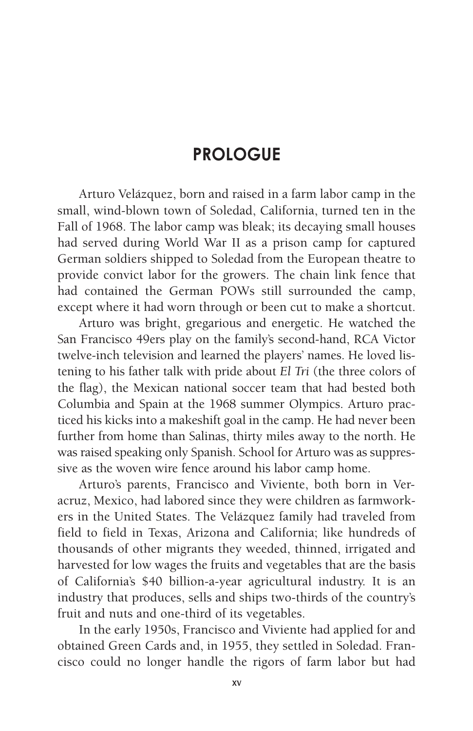# **PROLOGUE**

Arturo Velázquez, born and raised in a farm labor camp in the small, wind-blown town of Soledad, California, turned ten in the Fall of 1968. The labor camp was bleak; its decaying small houses had served during World War II as a prison camp for captured German soldiers shipped to Soledad from the European theatre to provide convict labor for the growers. The chain link fence that had contained the German POWs still surrounded the camp, except where it had worn through or been cut to make a shortcut.

Arturo was bright, gregarious and energetic. He watched the San Francisco 49ers play on the family's second-hand, RCA Victor twelve-inch television and learned the players' names. He loved listening to his father talk with pride about *El Tri* (the three colors of the flag), the Mexican national soccer team that had bested both Columbia and Spain at the 1968 summer Olympics. Arturo practiced his kicks into a makeshift goal in the camp. He had never been further from home than Salinas, thirty miles away to the north. He was raised speaking only Spanish. School for Arturo was as suppressive as the woven wire fence around his labor camp home.

Arturo's parents, Francisco and Viviente, both born in Veracruz, Mexico, had labored since they were children as farmworkers in the United States. The Velázquez family had traveled from field to field in Texas, Arizona and California; like hundreds of thousands of other migrants they weeded, thinned, irrigated and harvested for low wages the fruits and vegetables that are the basis of California's \$40 billion-a-year agricultural industry. It is an industry that produces, sells and ships two-thirds of the country's fruit and nuts and one-third of its vegetables.

In the early 1950s, Francisco and Viviente had applied for and obtained Green Cards and, in 1955, they settled in Soledad. Francisco could no longer handle the rigors of farm labor but had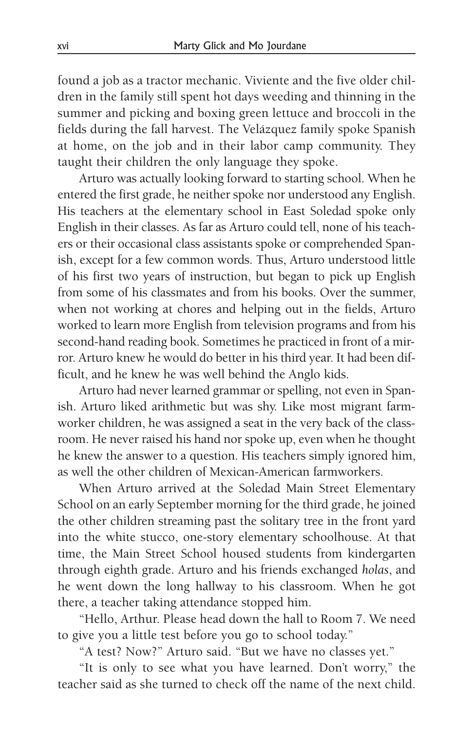found a job as a tractor mechanic. Viviente and the five older children in the family still spent hot days weeding and thinning in the summer and picking and boxing green lettuce and broccoli in the fields during the fall harvest. The Velázquez family spoke Spanish at home, on the job and in their labor camp community. They taught their children the only language they spoke.

Arturo was actually looking forward to starting school. When he entered the first grade, he neither spoke nor understood any English. His teachers at the elementary school in East Soledad spoke only English in their classes. As far as Arturo could tell, none of his teachers or their occasional class assistants spoke or comprehended Spanish, except for a few common words. Thus, Arturo understood little of his first two years of instruction, but began to pick up English from some of his classmates and from his books. Over the summer, when not working at chores and helping out in the fields, Arturo worked to learn more English from television programs and from his second-hand reading book. Sometimes he practiced in front of a mirror. Arturo knew he would do better in his third year. It had been difficult, and he knew he was well behind the Anglo kids.

Arturo had never learned grammar or spelling, not even in Spanish. Arturo liked arithmetic but was shy. Like most migrant farmworker children, he was assigned a seat in the very back of the classroom. He never raised his hand nor spoke up, even when he thought he knew the answer to a question. His teachers simply ignored him, as well the other children of Mexican-American farmworkers.

When Arturo arrived at the Soledad Main Street Elementary School on an early September morning for the third grade, he joined the other children streaming past the solitary tree in the front yard into the white stucco, one-story elementary schoolhouse. At that time, the Main Street School housed students from kindergarten through eighth grade. Arturo and his friends exchanged *holas*, and he went down the long hallway to his classroom. When he got there, a teacher taking attendance stopped him.

"Hello, Arthur. Please head down the hall to Room 7. We need to give you a little test before you go to school today."

"A test? Now?" Arturo said. "But we have no classes yet."

"It is only to see what you have learned. Don't worry," the teacher said as she turned to check off the name of the next child.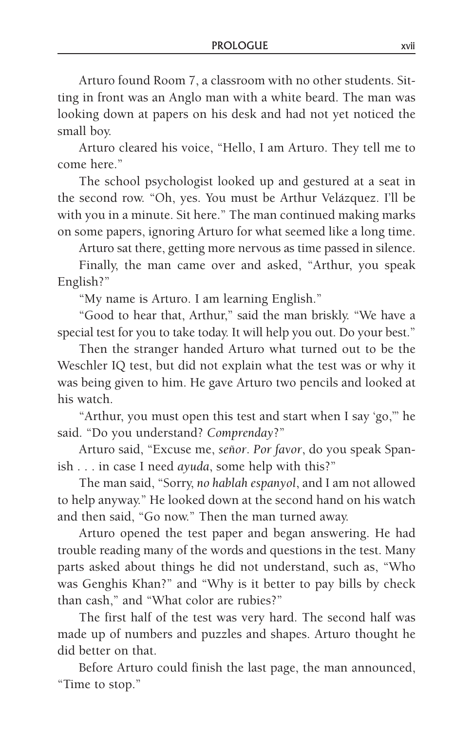Arturo found Room 7, a classroom with no other students. Sitting in front was an Anglo man with a white beard. The man was looking down at papers on his desk and had not yet noticed the small boy.

Arturo cleared his voice, "Hello, I am Arturo. They tell me to come here."

The school psychologist looked up and gestured at a seat in the second row. "Oh, yes. You must be Arthur Velázquez. I'll be with you in a minute. Sit here." The man continued making marks on some papers, ignoring Arturo for what seemed like a long time.

Arturo sat there, getting more nervous as time passed in silence.

Finally, the man came over and asked, "Arthur, you speak English?"

"My name is Arturo. I am learning English."

"Good to hear that, Arthur," said the man briskly. "We have a special test for you to take today. It will help you out. Do your best."

Then the stranger handed Arturo what turned out to be the Weschler IQ test, but did not explain what the test was or why it was being given to him. He gave Arturo two pencils and looked at his watch.

"Arthur, you must open this test and start when I say 'go,''' he said. "Do you understand? *Comprenday*?"

Arturo said, "Excuse me, *señor*. *Por favor*, do you speak Spanish . . . in case I need *ayuda*, some help with this?"

The man said, "Sorry, *no hablah espanyol*, and I am not allowed to help anyway." He looked down at the second hand on his watch and then said, "Go now." Then the man turned away.

Arturo opened the test paper and began answering. He had trouble reading many of the words and questions in the test. Many parts asked about things he did not understand, such as, "Who was Genghis Khan?" and "Why is it better to pay bills by check than cash," and "What color are rubies?"

The first half of the test was very hard. The second half was made up of numbers and puzzles and shapes. Arturo thought he did better on that.

Before Arturo could finish the last page, the man announced, "Time to stop."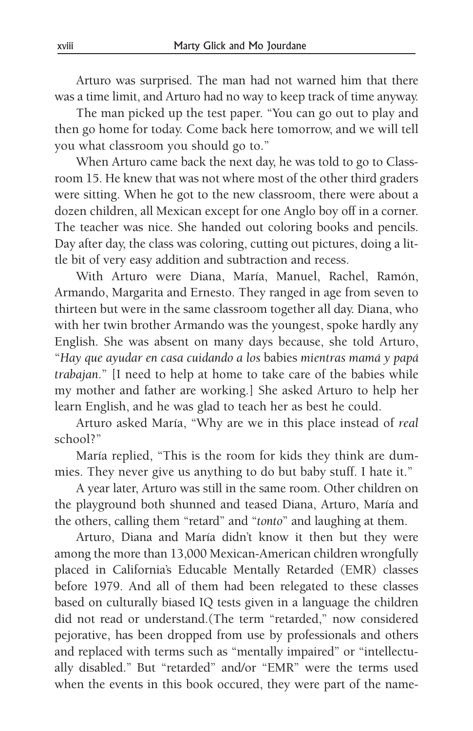Arturo was surprised. The man had not warned him that there was a time limit, and Arturo had no way to keep track of time anyway.

The man picked up the test paper. "You can go out to play and then go home for today. Come back here tomorrow, and we will tell you what classroom you should go to."

When Arturo came back the next day, he was told to go to Classroom 15. He knew that was not where most of the other third graders were sitting. When he got to the new classroom, there were about a dozen children, all Mexican except for one Anglo boy off in a corner. The teacher was nice. She handed out coloring books and pencils. Day after day, the class was coloring, cutting out pictures, doing a little bit of very easy addition and subtraction and recess.

With Arturo were Diana, María, Manuel, Rachel, Ramón, Armando, Margarita and Ernesto. They ranged in age from seven to thirteen but were in the same classroom together all day. Diana, who with her twin brother Armando was the youngest, spoke hardly any English. She was absent on many days because, she told Arturo, "*Hay que ayudar en casa cuidando a los* babies *mientras mamá y papá trabajan*." [I need to help at home to take care of the babies while my mother and father are working.] She asked Arturo to help her learn English, and he was glad to teach her as best he could.

Arturo asked María, "Why are we in this place instead of *real* school?"

María replied, "This is the room for kids they think are dummies. They never give us anything to do but baby stuff. I hate it."

A year later, Arturo was still in the same room. Other children on the playground both shunned and teased Diana, Arturo, María and the others, calling them "retard" and "*tonto*" and laughing at them.

Arturo, Diana and María didn't know it then but they were among the more than 13,000 Mexican-American children wrongfully placed in California's Educable Mentally Retarded (EMR) classes before 1979. And all of them had been relegated to these classes based on culturally biased IQ tests given in a language the children did not read or understand.(The term "retarded," now considered pejorative, has been dropped from use by professionals and others and replaced with terms such as "mentally impaired" or "intellectually disabled." But "retarded" and/or "EMR" were the terms used when the events in this book occured, they were part of the name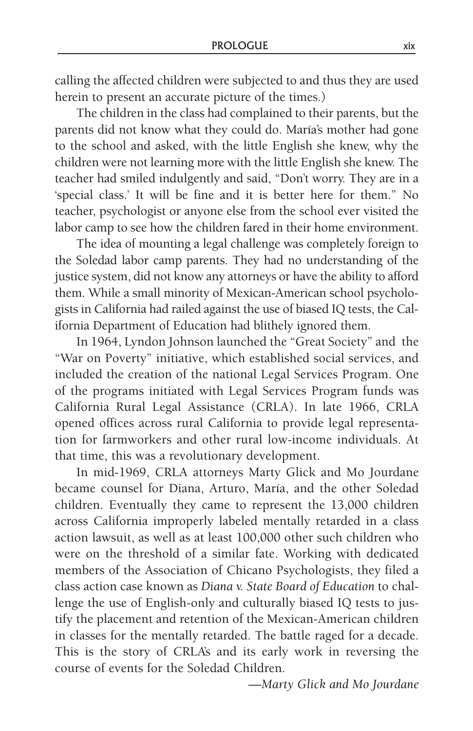calling the affected children were subjected to and thus they are used herein to present an accurate picture of the times.)

The children in the class had complained to their parents, but the parents did not know what they could do. María's mother had gone to the school and asked, with the little English she knew, why the children were not learning more with the little English she knew. The teacher had smiled indulgently and said, "Don't worry. They are in a 'special class.' It will be fine and it is better here for them." No teacher, psychologist or anyone else from the school ever visited the labor camp to see how the children fared in their home environment.

The idea of mounting a legal challenge was completely foreign to the Soledad labor camp parents. They had no understanding of the justice system, did not know any attorneys or have the ability to afford them. While a small minority of Mexican-American school psychologists in California had railed against the use of biased IQ tests, the California Department of Education had blithely ignored them.

In 1964, Lyndon Johnson launched the "Great Society" and the "War on Poverty" initiative, which established social services, and included the creation of the national Legal Services Program. One of the programs initiated with Legal Services Program funds was California Rural Legal Assistance (CRLA). In late 1966, CRLA opened offices across rural California to provide legal representation for farmworkers and other rural low-income individuals. At that time, this was a revolutionary development.

In mid-1969, CRLA attorneys Marty Glick and Mo Jourdane became counsel for Diana, Arturo, María, and the other Soledad children. Eventually they came to represent the 13,000 children across California improperly labeled mentally retarded in a class action lawsuit, as well as at least 100,000 other such children who were on the threshold of a similar fate. Working with dedicated members of the Association of Chicano Psychologists, they filed a class action case known as *Diana v. State Board of Education* to challenge the use of English-only and culturally biased IQ tests to justify the placement and retention of the Mexican-American children in classes for the mentally retarded. The battle raged for a decade. This is the story of CRLA's and its early work in reversing the course of events for the Soledad Children.

—*Marty Glick and Mo Jourdane*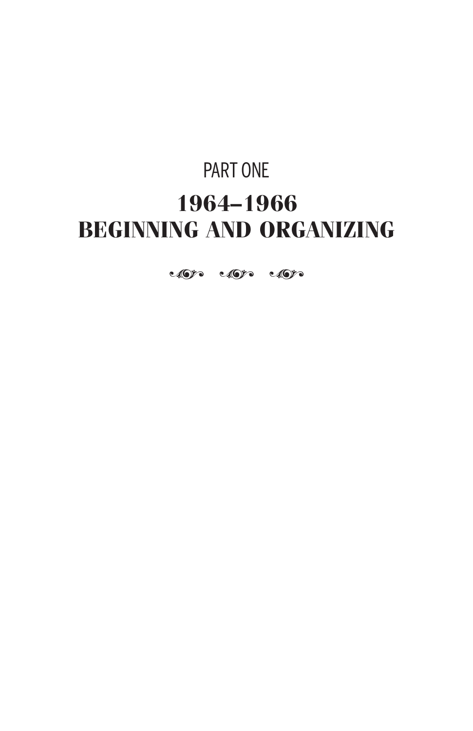# PART ONE **1964–1966 BEGINNING AND ORGANIZING**

 $\mathcal{A}$ i  $\mathcal{A}$ i  $\mathcal{A}$ i  $\mathcal{A}$ i  $\mathcal{A}$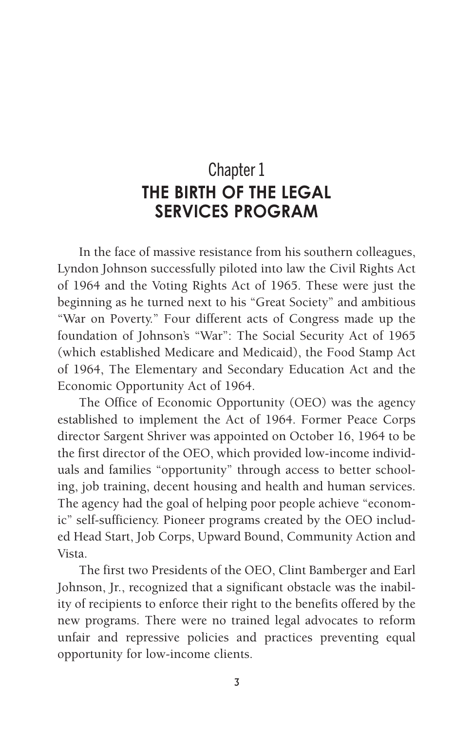# Chapter 1 **THE BIRTH OF THE LEGAL SERVICES PROGRAM**

In the face of massive resistance from his southern colleagues, Lyndon Johnson successfully piloted into law the Civil Rights Act of 1964 and the Voting Rights Act of 1965. These were just the beginning as he turned next to his "Great Society" and ambitious "War on Poverty." Four different acts of Congress made up the foundation of Johnson's "War": The Social Security Act of 1965 (which established Medicare and Medicaid), the Food Stamp Act of 1964, The Elementary and Secondary Education Act and the Economic Opportunity Act of 1964.

The Office of Economic Opportunity (OEO) was the agency established to implement the Act of 1964. Former Peace Corps director Sargent Shriver was appointed on October 16, 1964 to be the first director of the OEO, which provided low-income individuals and families "opportunity" through access to better schooling, job training, decent housing and health and human services. The agency had the goal of helping poor people achieve "economic" self-sufficiency. Pioneer programs created by the OEO included Head Start, Job Corps, Upward Bound, Community Action and Vista.

The first two Presidents of the OEO, Clint Bamberger and Earl Johnson, Jr., recognized that a significant obstacle was the inability of recipients to enforce their right to the benefits offered by the new programs. There were no trained legal advocates to reform unfair and repressive policies and practices preventing equal opportunity for low-income clients.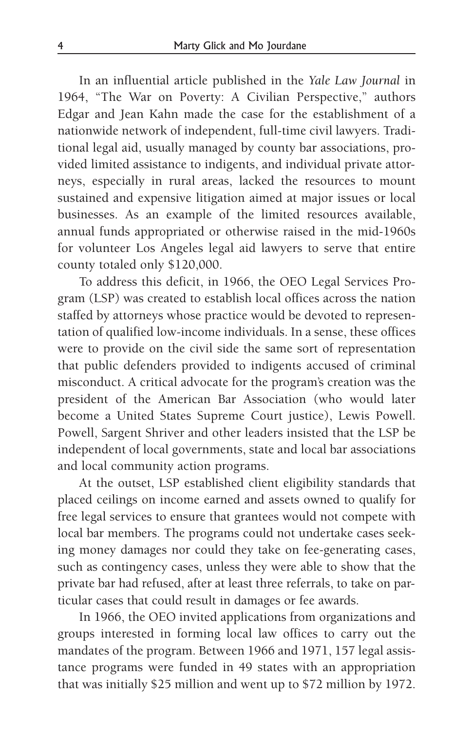In an influential article published in the *Yale Law Journal* in 1964, "The War on Poverty: A Civilian Perspective," authors Edgar and Jean Kahn made the case for the establishment of a nationwide network of independent, full-time civil lawyers. Traditional legal aid, usually managed by county bar associations, provided limited assistance to indigents, and individual private attorneys, especially in rural areas, lacked the resources to mount sustained and expensive litigation aimed at major issues or local businesses. As an example of the limited resources available, annual funds appropriated or otherwise raised in the mid-1960s for volunteer Los Angeles legal aid lawyers to serve that entire county totaled only \$120,000.

To address this deficit, in 1966, the OEO Legal Services Program (LSP) was created to establish local offices across the nation staffed by attorneys whose practice would be devoted to representation of qualified low-income individuals. In a sense, these offices were to provide on the civil side the same sort of representation that public defenders provided to indigents accused of criminal misconduct. A critical advocate for the program's creation was the president of the American Bar Association (who would later become a United States Supreme Court justice), Lewis Powell. Powell, Sargent Shriver and other leaders insisted that the LSP be independent of local governments, state and local bar associations and local community action programs.

At the outset, LSP established client eligibility standards that placed ceilings on income earned and assets owned to qualify for free legal services to ensure that grantees would not compete with local bar members. The programs could not undertake cases seeking money damages nor could they take on fee-generating cases, such as contingency cases, unless they were able to show that the private bar had refused, after at least three referrals, to take on particular cases that could result in damages or fee awards.

In 1966, the OEO invited applications from organizations and groups interested in forming local law offices to carry out the mandates of the program. Between 1966 and 1971, 157 legal assistance programs were funded in 49 states with an appropriation that was initially \$25 million and went up to \$72 million by 1972.